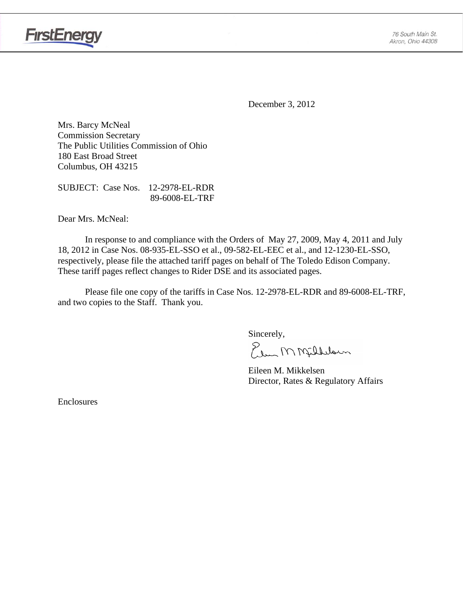

**FirstEnergy** 

December 3, 2012

Mrs. Barcy McNeal Commission Secretary The Public Utilities Commission of Ohio 180 East Broad Street Columbus, OH 43215

SUBJECT: Case Nos. 12-2978-EL-RDR 89-6008-EL-TRF

Dear Mrs. McNeal:

 In response to and compliance with the Orders of May 27, 2009, May 4, 2011 and July 18, 2012 in Case Nos. 08-935-EL-SSO et al., 09-582-EL-EEC et al., and 12-1230-EL-SSO, respectively, please file the attached tariff pages on behalf of The Toledo Edison Company. These tariff pages reflect changes to Rider DSE and its associated pages.

Please file one copy of the tariffs in Case Nos. 12-2978-EL-RDR and 89-6008-EL-TRF, and two copies to the Staff. Thank you.

Sincerely,

Elem M Milleloun

 Eileen M. Mikkelsen Director, Rates & Regulatory Affairs

Enclosures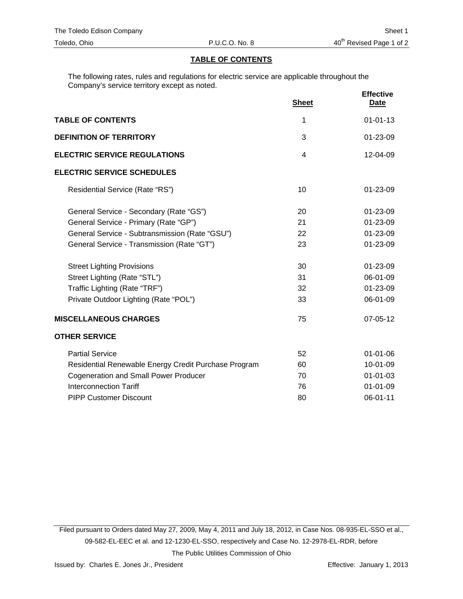### **TABLE OF CONTENTS**

The following rates, rules and regulations for electric service are applicable throughout the Company's service territory except as noted.

|                                                      | <b>Sheet</b>         | <b>Effective</b><br><u>Date</u>              |
|------------------------------------------------------|----------------------|----------------------------------------------|
| <b>TABLE OF CONTENTS</b>                             | 1                    | $01 - 01 - 13$                               |
| <b>DEFINITION OF TERRITORY</b>                       | 3                    | 01-23-09                                     |
| <b>ELECTRIC SERVICE REGULATIONS</b>                  | 4                    | $12 - 04 - 09$                               |
| <b>ELECTRIC SERVICE SCHEDULES</b>                    |                      |                                              |
| Residential Service (Rate "RS")                      | 10                   | $01 - 23 - 09$                               |
| General Service - Secondary (Rate "GS")              | 20                   | 01-23-09                                     |
| General Service - Primary (Rate "GP")                | 21<br>22             | 01-23-09<br>01-23-09                         |
| General Service - Subtransmission (Rate "GSU")       |                      |                                              |
| General Service - Transmission (Rate "GT")           | 23                   | 01-23-09                                     |
| <b>Street Lighting Provisions</b>                    | 30<br>31<br>32<br>33 | 01-23-09<br>06-01-09<br>01-23-09<br>06-01-09 |
| Street Lighting (Rate "STL")                         |                      |                                              |
| Traffic Lighting (Rate "TRF")                        |                      |                                              |
| Private Outdoor Lighting (Rate "POL")                |                      |                                              |
| <b>MISCELLANEOUS CHARGES</b>                         | 75                   | 07-05-12                                     |
| <b>OTHER SERVICE</b>                                 |                      |                                              |
| <b>Partial Service</b>                               | 52                   | $01 - 01 - 06$                               |
| Residential Renewable Energy Credit Purchase Program | 60                   | 10-01-09                                     |
| <b>Cogeneration and Small Power Producer</b>         | 70                   | $01 - 01 - 03$                               |
| <b>Interconnection Tariff</b>                        | 76                   | $01 - 01 - 09$                               |
| <b>PIPP Customer Discount</b>                        | 80                   | 06-01-11                                     |

Filed pursuant to Orders dated May 27, 2009, May 4, 2011 and July 18, 2012, in Case Nos. 08-935-EL-SSO et al., 09-582-EL-EEC et al. and 12-1230-EL-SSO, respectively and Case No. 12-2978-EL-RDR, before The Public Utilities Commission of Ohio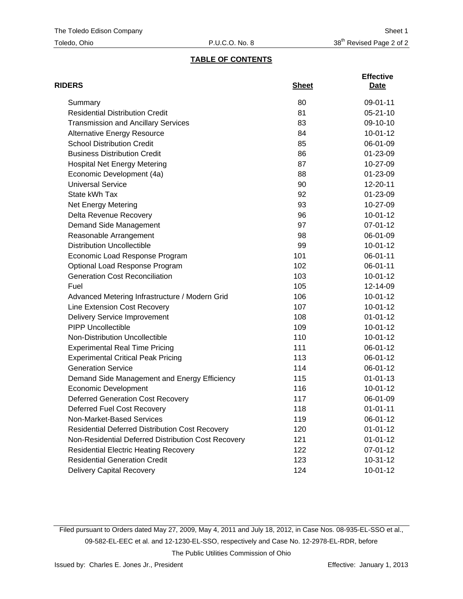# **TABLE OF CONTENTS**

| <b>RIDERS</b>                                          | <b>Sheet</b> | <b>Effective</b><br>Date |
|--------------------------------------------------------|--------------|--------------------------|
| Summary                                                | 80           | 09-01-11                 |
| <b>Residential Distribution Credit</b>                 | 81           | $05 - 21 - 10$           |
| <b>Transmission and Ancillary Services</b>             | 83           | 09-10-10                 |
| <b>Alternative Energy Resource</b>                     | 84           | $10-01-12$               |
| <b>School Distribution Credit</b>                      | 85           | 06-01-09                 |
| <b>Business Distribution Credit</b>                    | 86           | 01-23-09                 |
| <b>Hospital Net Energy Metering</b>                    | 87           | 10-27-09                 |
| Economic Development (4a)                              | 88           | 01-23-09                 |
| <b>Universal Service</b>                               | 90           | 12-20-11                 |
| State kWh Tax                                          | 92           | 01-23-09                 |
| <b>Net Energy Metering</b>                             | 93           | 10-27-09                 |
| Delta Revenue Recovery                                 | 96           | $10-01-12$               |
| Demand Side Management                                 | 97           | 07-01-12                 |
| Reasonable Arrangement                                 | 98           | 06-01-09                 |
| <b>Distribution Uncollectible</b>                      | 99           | $10-01-12$               |
| Economic Load Response Program                         | 101          | 06-01-11                 |
| Optional Load Response Program                         | 102          | 06-01-11                 |
| <b>Generation Cost Reconciliation</b>                  | 103          | $10-01-12$               |
| Fuel                                                   | 105          | 12-14-09                 |
| Advanced Metering Infrastructure / Modern Grid         | 106          | $10-01-12$               |
| Line Extension Cost Recovery                           | 107          | $10-01-12$               |
| <b>Delivery Service Improvement</b>                    | 108          | $01 - 01 - 12$           |
| <b>PIPP Uncollectible</b>                              | 109          | $10-01-12$               |
| Non-Distribution Uncollectible                         | 110          | 10-01-12                 |
| <b>Experimental Real Time Pricing</b>                  | 111          | 06-01-12                 |
| <b>Experimental Critical Peak Pricing</b>              | 113          | 06-01-12                 |
| <b>Generation Service</b>                              | 114          | 06-01-12                 |
| Demand Side Management and Energy Efficiency           | 115          | $01 - 01 - 13$           |
| <b>Economic Development</b>                            | 116          | $10-01-12$               |
| <b>Deferred Generation Cost Recovery</b>               | 117          | 06-01-09                 |
| Deferred Fuel Cost Recovery                            | 118          | $01 - 01 - 11$           |
| Non-Market-Based Services                              | 119          | 06-01-12                 |
| <b>Residential Deferred Distribution Cost Recovery</b> | 120          | $01 - 01 - 12$           |
| Non-Residential Deferred Distribution Cost Recovery    | 121          | $01 - 01 - 12$           |
| <b>Residential Electric Heating Recovery</b>           | 122          | 07-01-12                 |
| <b>Residential Generation Credit</b>                   | 123          | 10-31-12                 |
| <b>Delivery Capital Recovery</b>                       | 124          | $10 - 01 - 12$           |

Filed pursuant to Orders dated May 27, 2009, May 4, 2011 and July 18, 2012, in Case Nos. 08-935-EL-SSO et al., 09-582-EL-EEC et al. and 12-1230-EL-SSO, respectively and Case No. 12-2978-EL-RDR, before The Public Utilities Commission of Ohio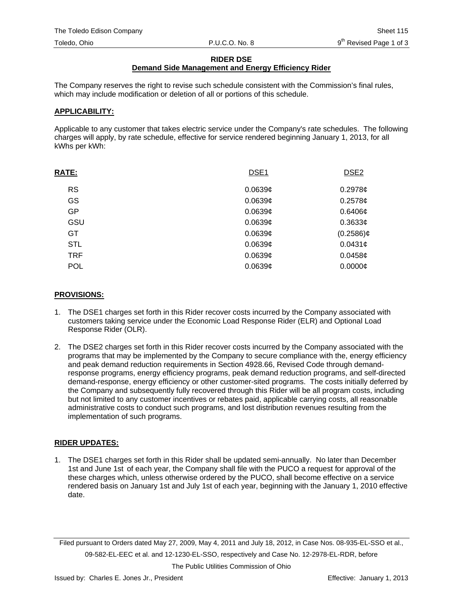#### **RIDER DSE**

# **Demand Side Management and Energy Efficiency Rider**

The Company reserves the right to revise such schedule consistent with the Commission's final rules, which may include modification or deletion of all or portions of this schedule.

#### **APPLICABILITY:**

Applicable to any customer that takes electric service under the Company's rate schedules. The following charges will apply, by rate schedule, effective for service rendered beginning January 1, 2013, for all kWhs per kWh:

| <b>RATE:</b> | DSE <sub>1</sub>    | DSE <sub>2</sub> |
|--------------|---------------------|------------------|
| <b>RS</b>    | 0.0639c             | $0.2978$ ¢       |
| GS           | 0.0639 <sub>¢</sub> | $0.2578$ ¢       |
| GP           | 0.0639 <sub>¢</sub> | $0.6406\phi$     |
| GSU          | 0.0639c             | $0.3633$ ¢       |
| GT           | 0.0639 <sub>¢</sub> | $(0.2586)$ ¢     |
| <b>STL</b>   | 0.0639 <sub>¢</sub> | $0.0431$ ¢       |
| <b>TRF</b>   | 0.0639c             | 0.0458c          |
| <b>POL</b>   | 0.0639 <sub>¢</sub> | $0.0000$ ¢       |

#### **PROVISIONS:**

- 1. The DSE1 charges set forth in this Rider recover costs incurred by the Company associated with customers taking service under the Economic Load Response Rider (ELR) and Optional Load Response Rider (OLR).
- 2. The DSE2 charges set forth in this Rider recover costs incurred by the Company associated with the programs that may be implemented by the Company to secure compliance with the, energy efficiency and peak demand reduction requirements in Section 4928.66, Revised Code through demandresponse programs, energy efficiency programs, peak demand reduction programs, and self-directed demand-response, energy efficiency or other customer-sited programs. The costs initially deferred by the Company and subsequently fully recovered through this Rider will be all program costs, including but not limited to any customer incentives or rebates paid, applicable carrying costs, all reasonable administrative costs to conduct such programs, and lost distribution revenues resulting from the implementation of such programs.

## **RIDER UPDATES:**

1. The DSE1 charges set forth in this Rider shall be updated semi-annually. No later than December 1st and June 1st of each year, the Company shall file with the PUCO a request for approval of the these charges which, unless otherwise ordered by the PUCO, shall become effective on a service rendered basis on January 1st and July 1st of each year, beginning with the January 1, 2010 effective date.

Filed pursuant to Orders dated May 27, 2009, May 4, 2011 and July 18, 2012, in Case Nos. 08-935-EL-SSO et al., 09-582-EL-EEC et al. and 12-1230-EL-SSO, respectively and Case No. 12-2978-EL-RDR, before

The Public Utilities Commission of Ohio